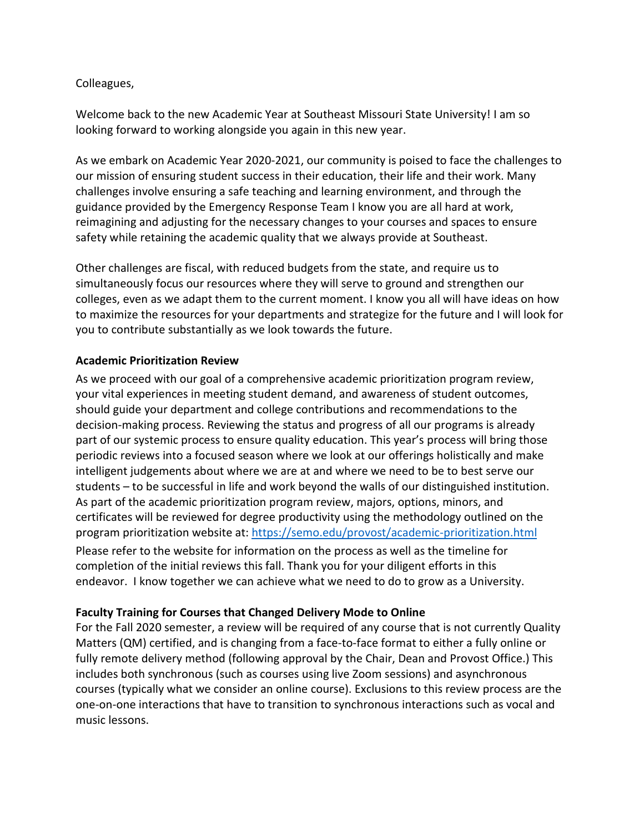## Colleagues,

Welcome back to the new Academic Year at Southeast Missouri State University! I am so looking forward to working alongside you again in this new year.

As we embark on Academic Year 2020-2021, our community is poised to face the challenges to our mission of ensuring student success in their education, their life and their work. Many challenges involve ensuring a safe teaching and learning environment, and through the guidance provided by the Emergency Response Team I know you are all hard at work, reimagining and adjusting for the necessary changes to your courses and spaces to ensure safety while retaining the academic quality that we always provide at Southeast.

Other challenges are fiscal, with reduced budgets from the state, and require us to simultaneously focus our resources where they will serve to ground and strengthen our colleges, even as we adapt them to the current moment. I know you all will have ideas on how to maximize the resources for your departments and strategize for the future and I will look for you to contribute substantially as we look towards the future.

## **Academic Prioritization Review**

As we proceed with our goal of a comprehensive academic prioritization program review, your vital experiences in meeting student demand, and awareness of student outcomes, should guide your department and college contributions and recommendations to the decision-making process. Reviewing the status and progress of all our programs is already part of our systemic process to ensure quality education. This year's process will bring those periodic reviews into a focused season where we look at our offerings holistically and make intelligent judgements about where we are at and where we need to be to best serve our students – to be successful in life and work beyond the walls of our distinguished institution. As part of the academic prioritization program review, majors, options, minors, and certificates will be reviewed for degree productivity using the methodology outlined on the program prioritization website at:<https://semo.edu/provost/academic-prioritization.html> Please refer to the website for information on the process as well as the timeline for completion of the initial reviews this fall. Thank you for your diligent efforts in this endeavor. I know together we can achieve what we need to do to grow as a University.

## **Faculty Training for Courses that Changed Delivery Mode to Online**

For the Fall 2020 semester, a review will be required of any course that is not currently Quality Matters (QM) certified, and is changing from a face-to-face format to either a fully online or fully remote delivery method (following approval by the Chair, Dean and Provost Office.) This includes both synchronous (such as courses using live Zoom sessions) and asynchronous courses (typically what we consider an online course). Exclusions to this review process are the one-on-one interactions that have to transition to synchronous interactions such as vocal and music lessons.